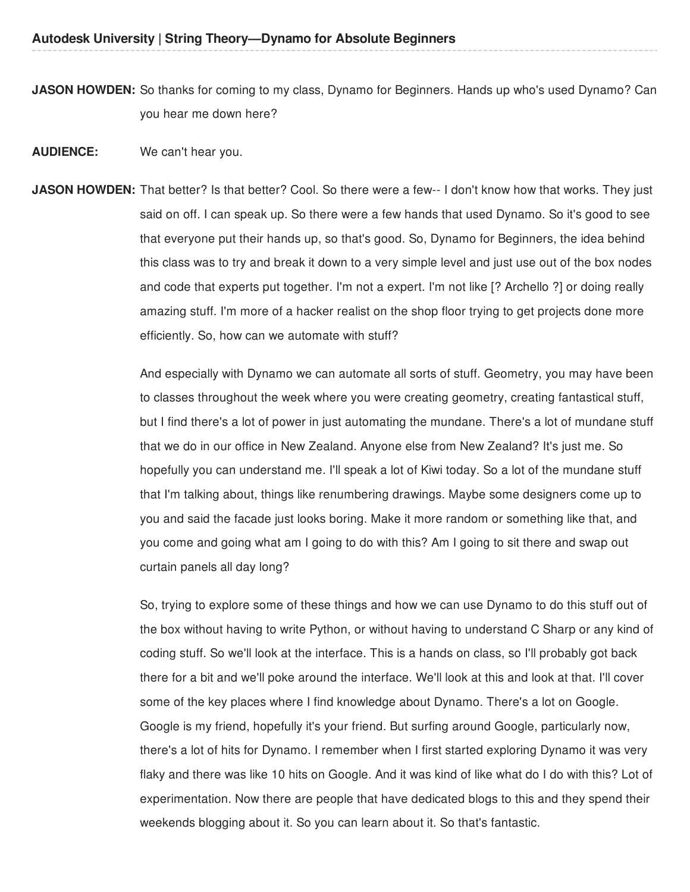**JASON HOWDEN:** So thanks for coming to my class, Dynamo for Beginners. Hands up who's used Dynamo? Can you hear me down here?

- **AUDIENCE:** We can't hear you.
- **JASON HOWDEN:** That better? Is that better? Cool. So there were a few-- I don't know how that works. They just said on off. I can speak up. So there were a few hands that used Dynamo. So it's good to see that everyone put their hands up, so that's good. So, Dynamo for Beginners, the idea behind this class was to try and break it down to a very simple level and just use out of the box nodes and code that experts put together. I'm not a expert. I'm not like [? Archello ?] or doing really amazing stuff. I'm more of a hacker realist on the shop floor trying to get projects done more efficiently. So, how can we automate with stuff?

And especially with Dynamo we can automate all sorts of stuff. Geometry, you may have been to classes throughout the week where you were creating geometry, creating fantastical stuff, but I find there's a lot of power in just automating the mundane. There's a lot of mundane stuff that we do in our office in New Zealand. Anyone else from New Zealand? It's just me. So hopefully you can understand me. I'll speak a lot of Kiwi today. So a lot of the mundane stuff that I'm talking about, things like renumbering drawings. Maybe some designers come up to you and said the facade just looks boring. Make it more random or something like that, and you come and going what am I going to do with this? Am I going to sit there and swap out curtain panels all day long?

So, trying to explore some of these things and how we can use Dynamo to do this stuff out of the box without having to write Python, or without having to understand C Sharp or any kind of coding stuff. So we'll look at the interface. This is a hands on class, so I'll probably got back there for a bit and we'll poke around the interface. We'll look at this and look at that. I'll cover some of the key places where I find knowledge about Dynamo. There's a lot on Google. Google is my friend, hopefully it's your friend. But surfing around Google, particularly now, there's a lot of hits for Dynamo. I remember when I first started exploring Dynamo it was very flaky and there was like 10 hits on Google. And it was kind of like what do I do with this? Lot of experimentation. Now there are people that have dedicated blogs to this and they spend their weekends blogging about it. So you can learn about it. So that's fantastic.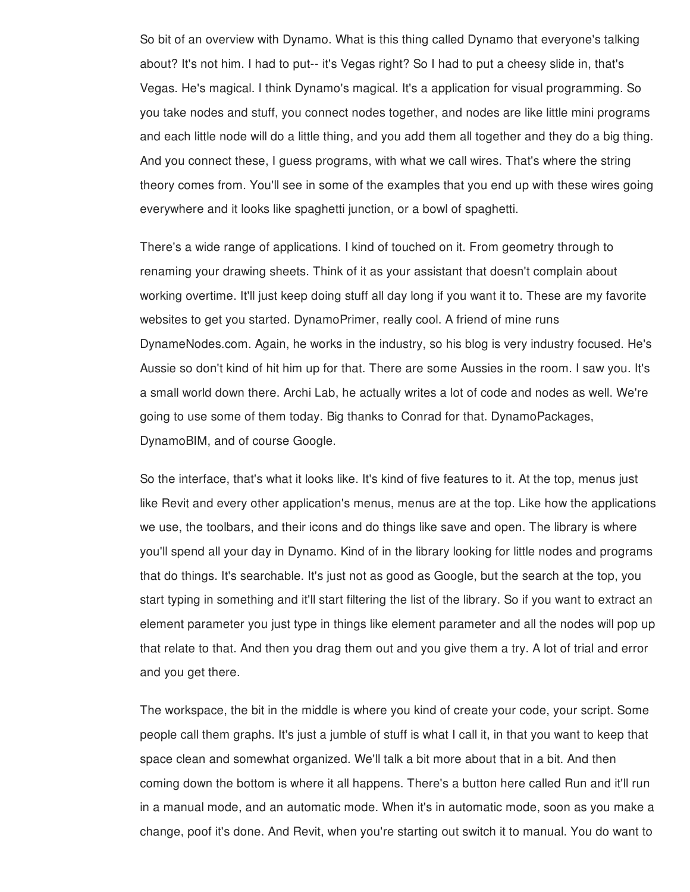So bit of an overview with Dynamo. What is this thing called Dynamo that everyone's talking about? It's not him. I had to put-- it's Vegas right? So I had to put a cheesy slide in, that's Vegas. He's magical. I think Dynamo's magical. It's a application for visual programming. So you take nodes and stuff, you connect nodes together, and nodes are like little mini programs and each little node will do a little thing, and you add them all together and they do a big thing. And you connect these, I guess programs, with what we call wires. That's where the string theory comes from. You'll see in some of the examples that you end up with these wires going everywhere and it looks like spaghetti junction, or a bowl of spaghetti.

There's a wide range of applications. I kind of touched on it. From geometry through to renaming your drawing sheets. Think of it as your assistant that doesn't complain about working overtime. It'll just keep doing stuff all day long if you want it to. These are my favorite websites to get you started. DynamoPrimer, really cool. A friend of mine runs DynameNodes.com. Again, he works in the industry, so his blog is very industry focused. He's Aussie so don't kind of hit him up for that. There are some Aussies in the room. I saw you. It's a small world down there. Archi Lab, he actually writes a lot of code and nodes as well. We're going to use some of them today. Big thanks to Conrad for that. DynamoPackages, DynamoBIM, and of course Google.

So the interface, that's what it looks like. It's kind of five features to it. At the top, menus just like Revit and every other application's menus, menus are at the top. Like how the applications we use, the toolbars, and their icons and do things like save and open. The library is where you'll spend all your day in Dynamo. Kind of in the library looking for little nodes and programs that do things. It's searchable. It's just not as good as Google, but the search at the top, you start typing in something and it'll start filtering the list of the library. So if you want to extract an element parameter you just type in things like element parameter and all the nodes will pop up that relate to that. And then you drag them out and you give them a try. A lot of trial and error and you get there.

The workspace, the bit in the middle is where you kind of create your code, your script. Some people call them graphs. It's just a jumble of stuff is what I call it, in that you want to keep that space clean and somewhat organized. We'll talk a bit more about that in a bit. And then coming down the bottom is where it all happens. There's a button here called Run and it'll run in a manual mode, and an automatic mode. When it's in automatic mode, soon as you make a change, poof it's done. And Revit, when you're starting out switch it to manual. You do want to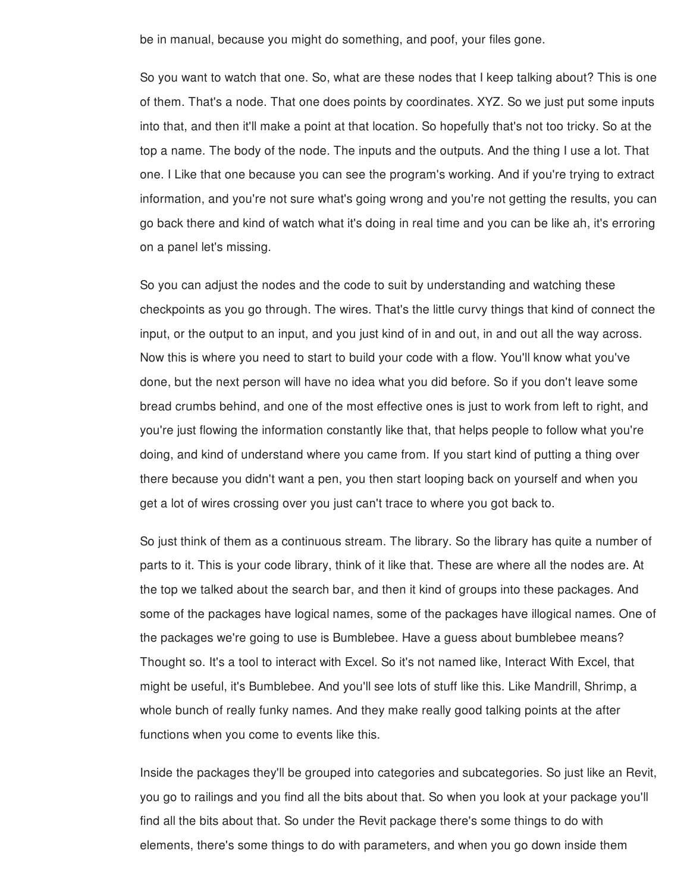be in manual, because you might do something, and poof, your files gone.

So you want to watch that one. So, what are these nodes that I keep talking about? This is one of them. That's a node. That one does points by coordinates. XYZ. So we just put some inputs into that, and then it'll make a point at that location. So hopefully that's not too tricky. So at the top a name. The body of the node. The inputs and the outputs. And the thing I use a lot. That one. I Like that one because you can see the program's working. And if you're trying to extract information, and you're not sure what's going wrong and you're not getting the results, you can go back there and kind of watch what it's doing in real time and you can be like ah, it's erroring on a panel let's missing.

So you can adjust the nodes and the code to suit by understanding and watching these checkpoints as you go through. The wires. That's the little curvy things that kind of connect the input, or the output to an input, and you just kind of in and out, in and out all the way across. Now this is where you need to start to build your code with a flow. You'll know what you've done, but the next person will have no idea what you did before. So if you don't leave some bread crumbs behind, and one of the most effective ones is just to work from left to right, and you're just flowing the information constantly like that, that helps people to follow what you're doing, and kind of understand where you came from. If you start kind of putting a thing over there because you didn't want a pen, you then start looping back on yourself and when you get a lot of wires crossing over you just can't trace to where you got back to.

So just think of them as a continuous stream. The library. So the library has quite a number of parts to it. This is your code library, think of it like that. These are where all the nodes are. At the top we talked about the search bar, and then it kind of groups into these packages. And some of the packages have logical names, some of the packages have illogical names. One of the packages we're going to use is Bumblebee. Have a guess about bumblebee means? Thought so. It's a tool to interact with Excel. So it's not named like, Interact With Excel, that might be useful, it's Bumblebee. And you'll see lots of stuff like this. Like Mandrill, Shrimp, a whole bunch of really funky names. And they make really good talking points at the after functions when you come to events like this.

Inside the packages they'll be grouped into categories and subcategories. So just like an Revit, you go to railings and you find all the bits about that. So when you look at your package you'll find all the bits about that. So under the Revit package there's some things to do with elements, there's some things to do with parameters, and when you go down inside them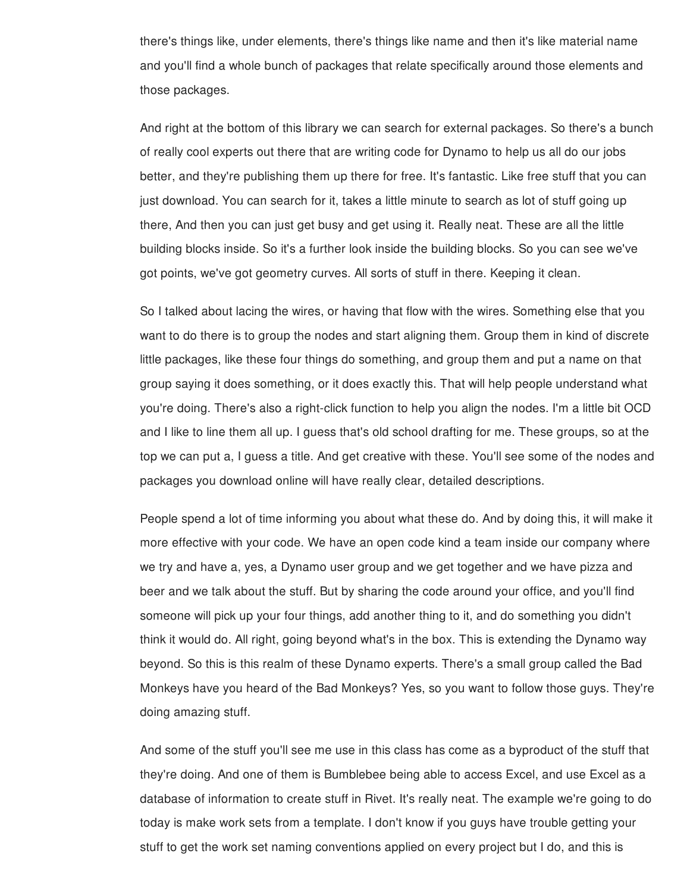there's things like, under elements, there's things like name and then it's like material name and you'll find a whole bunch of packages that relate specifically around those elements and those packages.

And right at the bottom of this library we can search for external packages. So there's a bunch of really cool experts out there that are writing code for Dynamo to help us all do our jobs better, and they're publishing them up there for free. It's fantastic. Like free stuff that you can just download. You can search for it, takes a little minute to search as lot of stuff going up there, And then you can just get busy and get using it. Really neat. These are all the little building blocks inside. So it's a further look inside the building blocks. So you can see we've got points, we've got geometry curves. All sorts of stuff in there. Keeping it clean.

So I talked about lacing the wires, or having that flow with the wires. Something else that you want to do there is to group the nodes and start aligning them. Group them in kind of discrete little packages, like these four things do something, and group them and put a name on that group saying it does something, or it does exactly this. That will help people understand what you're doing. There's also a right-click function to help you align the nodes. I'm a little bit OCD and I like to line them all up. I guess that's old school drafting for me. These groups, so at the top we can put a, I guess a title. And get creative with these. You'll see some of the nodes and packages you download online will have really clear, detailed descriptions.

People spend a lot of time informing you about what these do. And by doing this, it will make it more effective with your code. We have an open code kind a team inside our company where we try and have a, yes, a Dynamo user group and we get together and we have pizza and beer and we talk about the stuff. But by sharing the code around your office, and you'll find someone will pick up your four things, add another thing to it, and do something you didn't think it would do. All right, going beyond what's in the box. This is extending the Dynamo way beyond. So this is this realm of these Dynamo experts. There's a small group called the Bad Monkeys have you heard of the Bad Monkeys? Yes, so you want to follow those guys. They're doing amazing stuff.

And some of the stuff you'll see me use in this class has come as a byproduct of the stuff that they're doing. And one of them is Bumblebee being able to access Excel, and use Excel as a database of information to create stuff in Rivet. It's really neat. The example we're going to do today is make work sets from a template. I don't know if you guys have trouble getting your stuff to get the work set naming conventions applied on every project but I do, and this is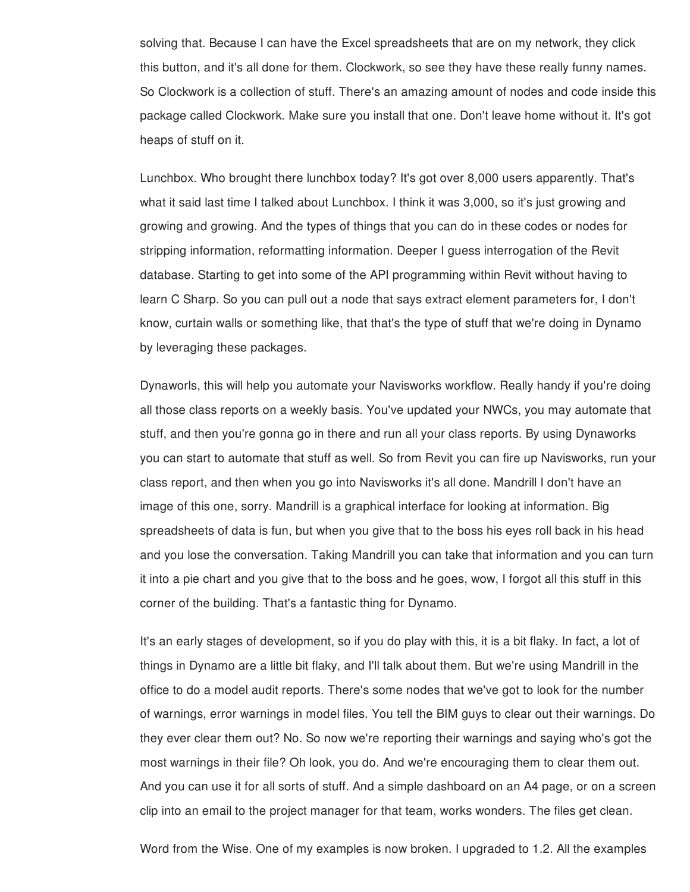solving that. Because I can have the Excel spreadsheets that are on my network, they click this button, and it's all done for them. Clockwork, so see they have these really funny names. So Clockwork is a collection of stuff. There's an amazing amount of nodes and code inside this package called Clockwork. Make sure you install that one. Don't leave home without it. It's got heaps of stuff on it.

Lunchbox. Who brought there lunchbox today? It's got over 8,000 users apparently. That's what it said last time I talked about Lunchbox. I think it was 3,000, so it's just growing and growing and growing. And the types of things that you can do in these codes or nodes for stripping information, reformatting information. Deeper I guess interrogation of the Revit database. Starting to get into some of the API programming within Revit without having to learn C Sharp. So you can pull out a node that says extract element parameters for, I don't know, curtain walls or something like, that that's the type of stuff that we're doing in Dynamo by leveraging these packages.

Dynaworls, this will help you automate your Navisworks workflow. Really handy if you're doing all those class reports on a weekly basis. You've updated your NWCs, you may automate that stuff, and then you're gonna go in there and run all your class reports. By using Dynaworks you can start to automate that stuff as well. So from Revit you can fire up Navisworks, run your class report, and then when you go into Navisworks it's all done. Mandrill I don't have an image of this one, sorry. Mandrill is a graphical interface for looking at information. Big spreadsheets of data is fun, but when you give that to the boss his eyes roll back in his head and you lose the conversation. Taking Mandrill you can take that information and you can turn it into a pie chart and you give that to the boss and he goes, wow, I forgot all this stuff in this corner of the building. That's a fantastic thing for Dynamo.

It's an early stages of development, so if you do play with this, it is a bit flaky. In fact, a lot of things in Dynamo are a little bit flaky, and I'll talk about them. But we're using Mandrill in the office to do a model audit reports. There's some nodes that we've got to look for the number of warnings, error warnings in model files. You tell the BIM guys to clear out their warnings. Do they ever clear them out? No. So now we're reporting their warnings and saying who's got the most warnings in their file? Oh look, you do. And we're encouraging them to clear them out. And you can use it for all sorts of stuff. And a simple dashboard on an A4 page, or on a screen clip into an email to the project manager for that team, works wonders. The files get clean.

Word from the Wise. One of my examples is now broken. I upgraded to 1.2. All the examples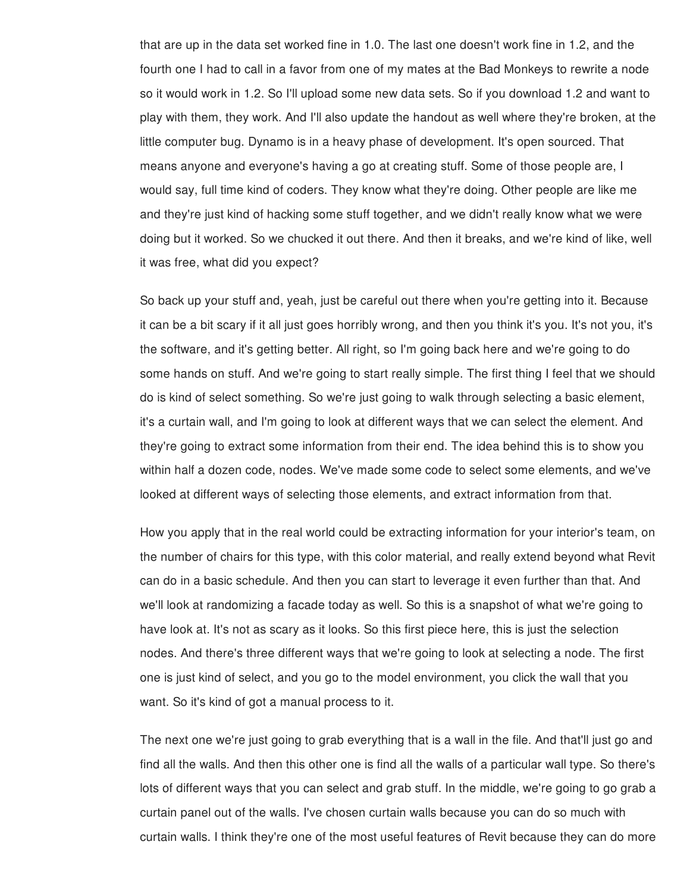that are up in the data set worked fine in 1.0. The last one doesn't work fine in 1.2, and the fourth one I had to call in a favor from one of my mates at the Bad Monkeys to rewrite a node so it would work in 1.2. So I'll upload some new data sets. So if you download 1.2 and want to play with them, they work. And I'll also update the handout as well where they're broken, at the little computer bug. Dynamo is in a heavy phase of development. It's open sourced. That means anyone and everyone's having a go at creating stuff. Some of those people are, I would say, full time kind of coders. They know what they're doing. Other people are like me and they're just kind of hacking some stuff together, and we didn't really know what we were doing but it worked. So we chucked it out there. And then it breaks, and we're kind of like, well it was free, what did you expect?

So back up your stuff and, yeah, just be careful out there when you're getting into it. Because it can be a bit scary if it all just goes horribly wrong, and then you think it's you. It's not you, it's the software, and it's getting better. All right, so I'm going back here and we're going to do some hands on stuff. And we're going to start really simple. The first thing I feel that we should do is kind of select something. So we're just going to walk through selecting a basic element, it's a curtain wall, and I'm going to look at different ways that we can select the element. And they're going to extract some information from their end. The idea behind this is to show you within half a dozen code, nodes. We've made some code to select some elements, and we've looked at different ways of selecting those elements, and extract information from that.

How you apply that in the real world could be extracting information for your interior's team, on the number of chairs for this type, with this color material, and really extend beyond what Revit can do in a basic schedule. And then you can start to leverage it even further than that. And we'll look at randomizing a facade today as well. So this is a snapshot of what we're going to have look at. It's not as scary as it looks. So this first piece here, this is just the selection nodes. And there's three different ways that we're going to look at selecting a node. The first one is just kind of select, and you go to the model environment, you click the wall that you want. So it's kind of got a manual process to it.

The next one we're just going to grab everything that is a wall in the file. And that'll just go and find all the walls. And then this other one is find all the walls of a particular wall type. So there's lots of different ways that you can select and grab stuff. In the middle, we're going to go grab a curtain panel out of the walls. I've chosen curtain walls because you can do so much with curtain walls. I think they're one of the most useful features of Revit because they can do more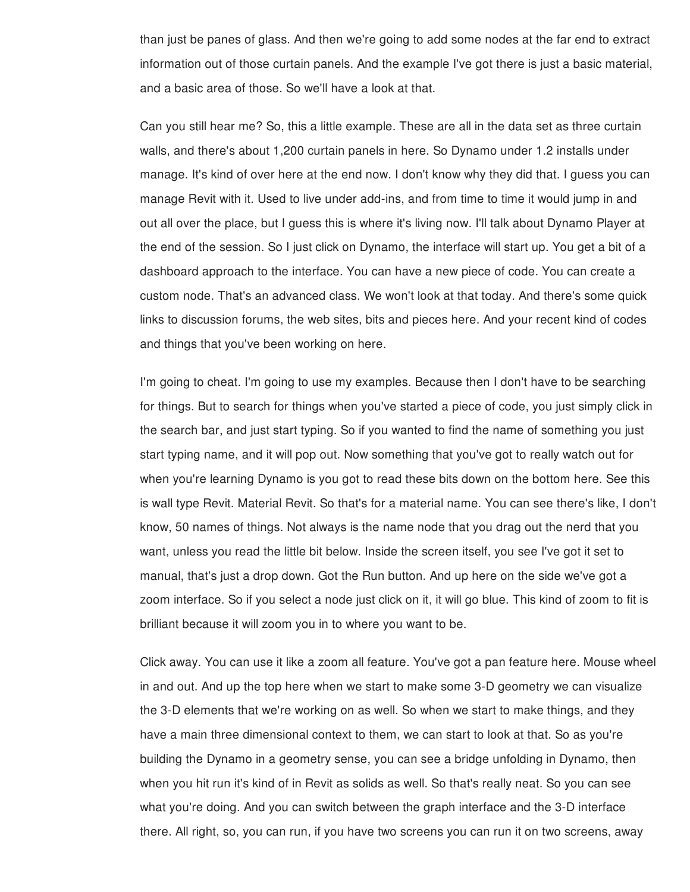than just be panes of glass. And then we're going to add some nodes at the far end to extract information out of those curtain panels. And the example I've got there is just a basic material, and a basic area of those. So we'll have a look at that.

Can you still hear me? So, this a little example. These are all in the data set as three curtain walls, and there's about 1,200 curtain panels in here. So Dynamo under 1.2 installs under manage. It's kind of over here at the end now. I don't know why they did that. I guess you can manage Revit with it. Used to live under add-ins, and from time to time it would jump in and out all over the place, but I guess this is where it's living now. I'll talk about Dynamo Player at the end of the session. So I just click on Dynamo, the interface will start up. You get a bit of a dashboard approach to the interface. You can have a new piece of code. You can create a custom node. That's an advanced class. We won't look at that today. And there's some quick links to discussion forums, the web sites, bits and pieces here. And your recent kind of codes and things that you've been working on here.

I'm going to cheat. I'm going to use my examples. Because then I don't have to be searching for things. But to search for things when you've started a piece of code, you just simply click in the search bar, and just start typing. So if you wanted to find the name of something you just start typing name, and it will pop out. Now something that you've got to really watch out for when you're learning Dynamo is you got to read these bits down on the bottom here. See this is wall type Revit. Material Revit. So that's for a material name. You can see there's like, I don't know, 50 names of things. Not always is the name node that you drag out the nerd that you want, unless you read the little bit below. Inside the screen itself, you see I've got it set to manual, that's just a drop down. Got the Run button. And up here on the side we've got a zoom interface. So if you select a node just click on it, it will go blue. This kind of zoom to fit is brilliant because it will zoom you in to where you want to be.

Click away. You can use it like a zoom all feature. You've got a pan feature here. Mouse wheel in and out. And up the top here when we start to make some 3-D geometry we can visualize the 3-D elements that we're working on as well. So when we start to make things, and they have a main three dimensional context to them, we can start to look at that. So as you're building the Dynamo in a geometry sense, you can see a bridge unfolding in Dynamo, then when you hit run it's kind of in Revit as solids as well. So that's really neat. So you can see what you're doing. And you can switch between the graph interface and the 3-D interface there. All right, so, you can run, if you have two screens you can run it on two screens, away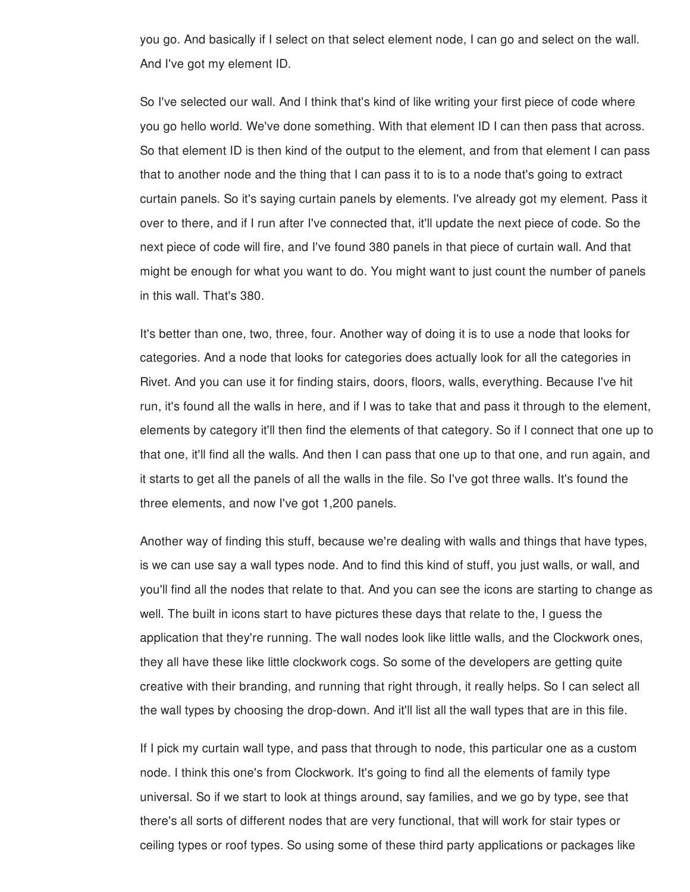you go. And basically if I select on that select element node, I can go and select on the wall. And I've got my element ID.

So I've selected our wall. And I think that's kind of like writing your first piece of code where you go hello world. We've done something. With that element ID I can then pass that across. So that element ID is then kind of the output to the element, and from that element I can pass that to another node and the thing that I can pass it to is to a node that's going to extract curtain panels. So it's saying curtain panels by elements. I've already got my element. Pass it over to there, and if I run after I've connected that, it'll update the next piece of code. So the next piece of code will fire, and I've found 380 panels in that piece of curtain wall. And that might be enough for what you want to do. You might want to just count the number of panels in this wall. That's 380.

It's better than one, two, three, four. Another way of doing it is to use a node that looks for categories. And a node that looks for categories does actually look for all the categories in Rivet. And you can use it for finding stairs, doors, floors, walls, everything. Because I've hit run, it's found all the walls in here, and if I was to take that and pass it through to the element, elements by category it'll then find the elements of that category. So if I connect that one up to that one, it'll find all the walls. And then I can pass that one up to that one, and run again, and it starts to get all the panels of all the walls in the file. So I've got three walls. It's found the three elements, and now I've got 1,200 panels.

Another way of finding this stuff, because we're dealing with walls and things that have types, is we can use say a wall types node. And to find this kind of stuff, you just walls, or wall, and you'll find all the nodes that relate to that. And you can see the icons are starting to change as well. The built in icons start to have pictures these days that relate to the, I guess the application that they're running. The wall nodes look like little walls, and the Clockwork ones, they all have these like little clockwork cogs. So some of the developers are getting quite creative with their branding, and running that right through, it really helps. So I can select all the wall types by choosing the drop-down. And it'll list all the wall types that are in this file.

If I pick my curtain wall type, and pass that through to node, this particular one as a custom node. I think this one's from Clockwork. It's going to find all the elements of family type universal. So if we start to look at things around, say families, and we go by type, see that there's all sorts of different nodes that are very functional, that will work for stair types or ceiling types or roof types. So using some of these third party applications or packages like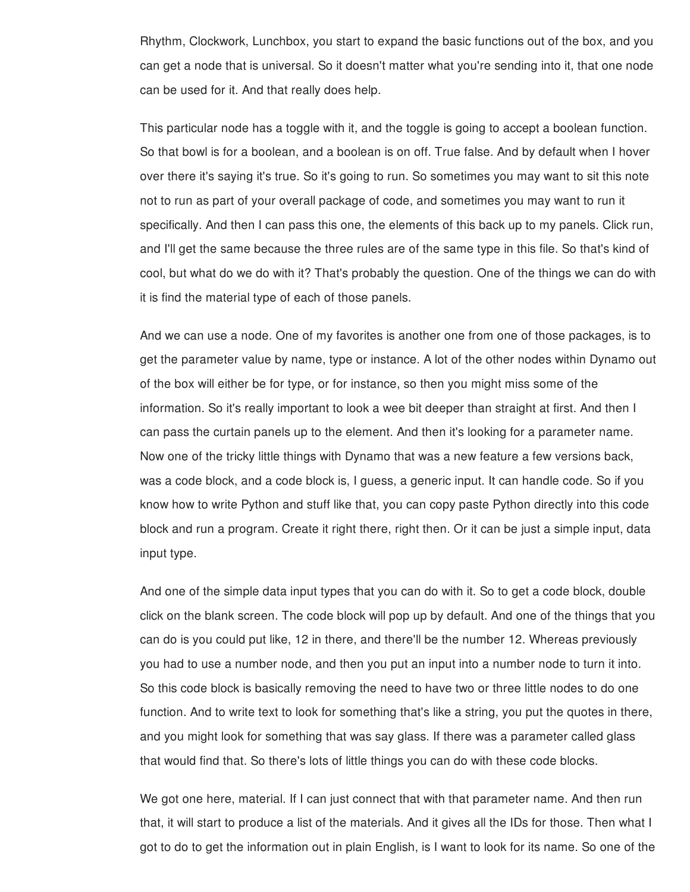Rhythm, Clockwork, Lunchbox, you start to expand the basic functions out of the box, and you can get a node that is universal. So it doesn't matter what you're sending into it, that one node can be used for it. And that really does help.

This particular node has a toggle with it, and the toggle is going to accept a boolean function. So that bowl is for a boolean, and a boolean is on off. True false. And by default when I hover over there it's saying it's true. So it's going to run. So sometimes you may want to sit this note not to run as part of your overall package of code, and sometimes you may want to run it specifically. And then I can pass this one, the elements of this back up to my panels. Click run, and I'll get the same because the three rules are of the same type in this file. So that's kind of cool, but what do we do with it? That's probably the question. One of the things we can do with it is find the material type of each of those panels.

And we can use a node. One of my favorites is another one from one of those packages, is to get the parameter value by name, type or instance. A lot of the other nodes within Dynamo out of the box will either be for type, or for instance, so then you might miss some of the information. So it's really important to look a wee bit deeper than straight at first. And then I can pass the curtain panels up to the element. And then it's looking for a parameter name. Now one of the tricky little things with Dynamo that was a new feature a few versions back, was a code block, and a code block is, I guess, a generic input. It can handle code. So if you know how to write Python and stuff like that, you can copy paste Python directly into this code block and run a program. Create it right there, right then. Or it can be just a simple input, data input type.

And one of the simple data input types that you can do with it. So to get a code block, double click on the blank screen. The code block will pop up by default. And one of the things that you can do is you could put like, 12 in there, and there'll be the number 12. Whereas previously you had to use a number node, and then you put an input into a number node to turn it into. So this code block is basically removing the need to have two or three little nodes to do one function. And to write text to look for something that's like a string, you put the quotes in there, and you might look for something that was say glass. If there was a parameter called glass that would find that. So there's lots of little things you can do with these code blocks.

We got one here, material. If I can just connect that with that parameter name. And then run that, it will start to produce a list of the materials. And it gives all the IDs for those. Then what I got to do to get the information out in plain English, is I want to look for its name. So one of the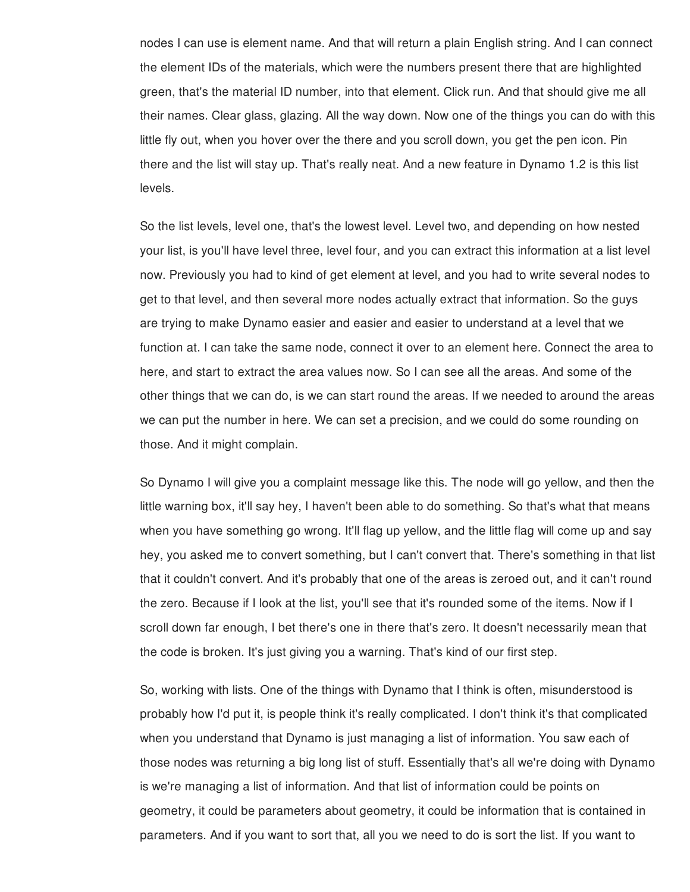nodes I can use is element name. And that will return a plain English string. And I can connect the element IDs of the materials, which were the numbers present there that are highlighted green, that's the material ID number, into that element. Click run. And that should give me all their names. Clear glass, glazing. All the way down. Now one of the things you can do with this little fly out, when you hover over the there and you scroll down, you get the pen icon. Pin there and the list will stay up. That's really neat. And a new feature in Dynamo 1.2 is this list levels.

So the list levels, level one, that's the lowest level. Level two, and depending on how nested your list, is you'll have level three, level four, and you can extract this information at a list level now. Previously you had to kind of get element at level, and you had to write several nodes to get to that level, and then several more nodes actually extract that information. So the guys are trying to make Dynamo easier and easier and easier to understand at a level that we function at. I can take the same node, connect it over to an element here. Connect the area to here, and start to extract the area values now. So I can see all the areas. And some of the other things that we can do, is we can start round the areas. If we needed to around the areas we can put the number in here. We can set a precision, and we could do some rounding on those. And it might complain.

So Dynamo I will give you a complaint message like this. The node will go yellow, and then the little warning box, it'll say hey, I haven't been able to do something. So that's what that means when you have something go wrong. It'll flag up yellow, and the little flag will come up and say hey, you asked me to convert something, but I can't convert that. There's something in that list that it couldn't convert. And it's probably that one of the areas is zeroed out, and it can't round the zero. Because if I look at the list, you'll see that it's rounded some of the items. Now if I scroll down far enough, I bet there's one in there that's zero. It doesn't necessarily mean that the code is broken. It's just giving you a warning. That's kind of our first step.

So, working with lists. One of the things with Dynamo that I think is often, misunderstood is probably how I'd put it, is people think it's really complicated. I don't think it's that complicated when you understand that Dynamo is just managing a list of information. You saw each of those nodes was returning a big long list of stuff. Essentially that's all we're doing with Dynamo is we're managing a list of information. And that list of information could be points on geometry, it could be parameters about geometry, it could be information that is contained in parameters. And if you want to sort that, all you we need to do is sort the list. If you want to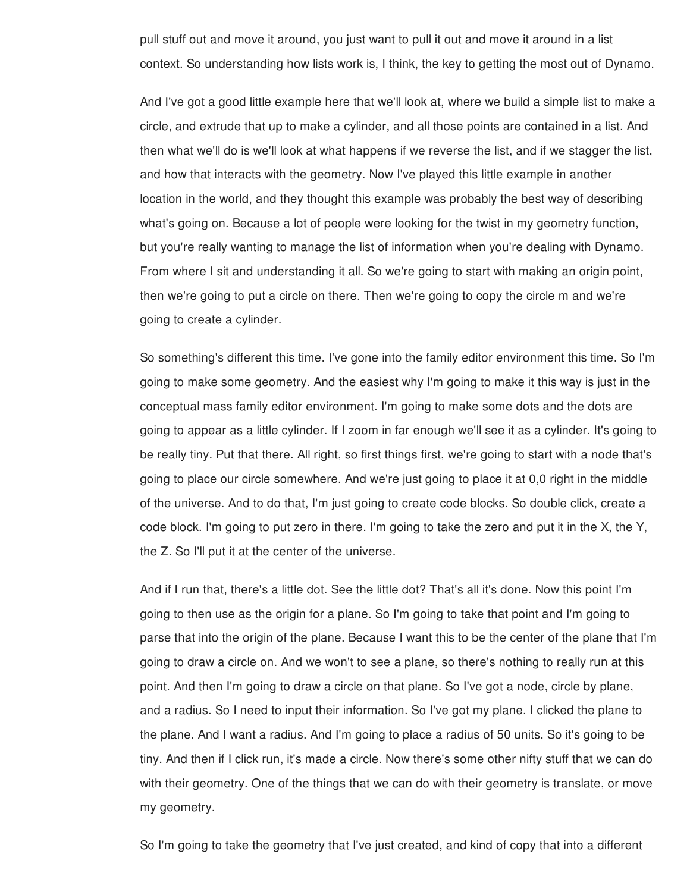pull stuff out and move it around, you just want to pull it out and move it around in a list context. So understanding how lists work is, I think, the key to getting the most out of Dynamo.

And I've got a good little example here that we'll look at, where we build a simple list to make a circle, and extrude that up to make a cylinder, and all those points are contained in a list. And then what we'll do is we'll look at what happens if we reverse the list, and if we stagger the list, and how that interacts with the geometry. Now I've played this little example in another location in the world, and they thought this example was probably the best way of describing what's going on. Because a lot of people were looking for the twist in my geometry function, but you're really wanting to manage the list of information when you're dealing with Dynamo. From where I sit and understanding it all. So we're going to start with making an origin point, then we're going to put a circle on there. Then we're going to copy the circle m and we're going to create a cylinder.

So something's different this time. I've gone into the family editor environment this time. So I'm going to make some geometry. And the easiest why I'm going to make it this way is just in the conceptual mass family editor environment. I'm going to make some dots and the dots are going to appear as a little cylinder. If I zoom in far enough we'll see it as a cylinder. It's going to be really tiny. Put that there. All right, so first things first, we're going to start with a node that's going to place our circle somewhere. And we're just going to place it at 0,0 right in the middle of the universe. And to do that, I'm just going to create code blocks. So double click, create a code block. I'm going to put zero in there. I'm going to take the zero and put it in the X, the Y, the Z. So I'll put it at the center of the universe.

And if I run that, there's a little dot. See the little dot? That's all it's done. Now this point I'm going to then use as the origin for a plane. So I'm going to take that point and I'm going to parse that into the origin of the plane. Because I want this to be the center of the plane that I'm going to draw a circle on. And we won't to see a plane, so there's nothing to really run at this point. And then I'm going to draw a circle on that plane. So I've got a node, circle by plane, and a radius. So I need to input their information. So I've got my plane. I clicked the plane to the plane. And I want a radius. And I'm going to place a radius of 50 units. So it's going to be tiny. And then if I click run, it's made a circle. Now there's some other nifty stuff that we can do with their geometry. One of the things that we can do with their geometry is translate, or move my geometry.

So I'm going to take the geometry that I've just created, and kind of copy that into a different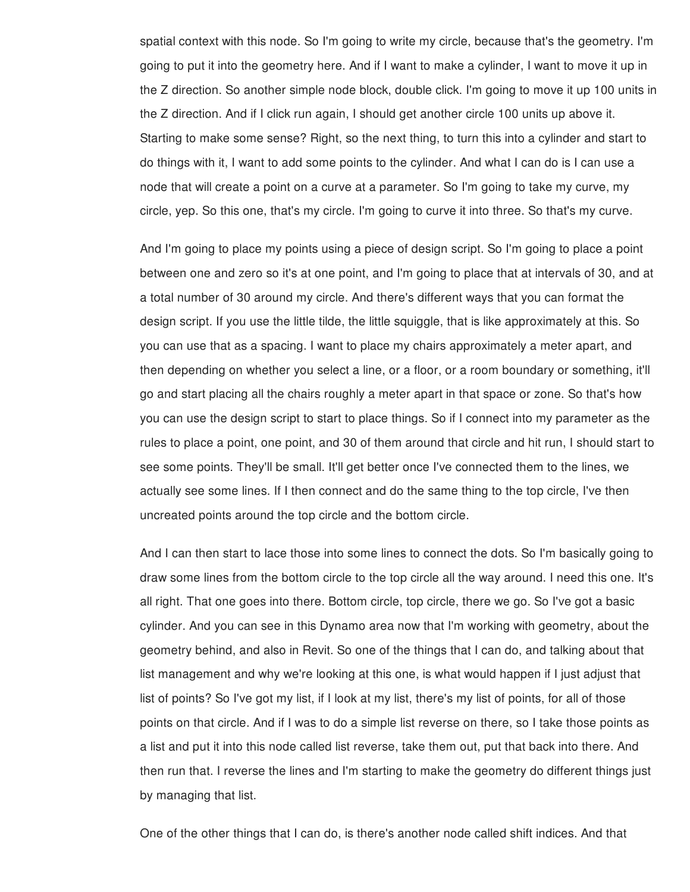spatial context with this node. So I'm going to write my circle, because that's the geometry. I'm going to put it into the geometry here. And if I want to make a cylinder, I want to move it up in the Z direction. So another simple node block, double click. I'm going to move it up 100 units in the Z direction. And if I click run again, I should get another circle 100 units up above it. Starting to make some sense? Right, so the next thing, to turn this into a cylinder and start to do things with it, I want to add some points to the cylinder. And what I can do is I can use a node that will create a point on a curve at a parameter. So I'm going to take my curve, my circle, yep. So this one, that's my circle. I'm going to curve it into three. So that's my curve.

And I'm going to place my points using a piece of design script. So I'm going to place a point between one and zero so it's at one point, and I'm going to place that at intervals of 30, and at a total number of 30 around my circle. And there's different ways that you can format the design script. If you use the little tilde, the little squiggle, that is like approximately at this. So you can use that as a spacing. I want to place my chairs approximately a meter apart, and then depending on whether you select a line, or a floor, or a room boundary or something, it'll go and start placing all the chairs roughly a meter apart in that space or zone. So that's how you can use the design script to start to place things. So if I connect into my parameter as the rules to place a point, one point, and 30 of them around that circle and hit run, I should start to see some points. They'll be small. It'll get better once I've connected them to the lines, we actually see some lines. If I then connect and do the same thing to the top circle, I've then uncreated points around the top circle and the bottom circle.

And I can then start to lace those into some lines to connect the dots. So I'm basically going to draw some lines from the bottom circle to the top circle all the way around. I need this one. It's all right. That one goes into there. Bottom circle, top circle, there we go. So I've got a basic cylinder. And you can see in this Dynamo area now that I'm working with geometry, about the geometry behind, and also in Revit. So one of the things that I can do, and talking about that list management and why we're looking at this one, is what would happen if I just adjust that list of points? So I've got my list, if I look at my list, there's my list of points, for all of those points on that circle. And if I was to do a simple list reverse on there, so I take those points as a list and put it into this node called list reverse, take them out, put that back into there. And then run that. I reverse the lines and I'm starting to make the geometry do different things just by managing that list.

One of the other things that I can do, is there's another node called shift indices. And that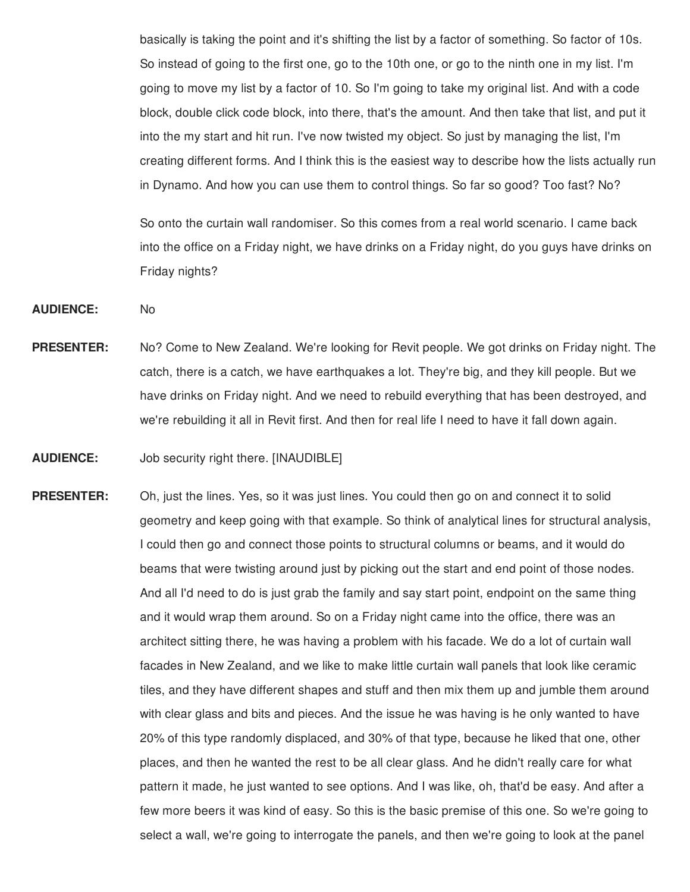basically is taking the point and it's shifting the list by a factor of something. So factor of 10s. So instead of going to the first one, go to the 10th one, or go to the ninth one in my list. I'm going to move my list by a factor of 10. So I'm going to take my original list. And with a code block, double click code block, into there, that's the amount. And then take that list, and put it into the my start and hit run. I've now twisted my object. So just by managing the list, I'm creating different forms. And I think this is the easiest way to describe how the lists actually run in Dynamo. And how you can use them to control things. So far so good? Too fast? No?

So onto the curtain wall randomiser. So this comes from a real world scenario. I came back into the office on a Friday night, we have drinks on a Friday night, do you guys have drinks on Friday nights?

**AUDIENCE:** No

- **PRESENTER:** No? Come to New Zealand. We're looking for Revit people. We got drinks on Friday night. The catch, there is a catch, we have earthquakes a lot. They're big, and they kill people. But we have drinks on Friday night. And we need to rebuild everything that has been destroyed, and we're rebuilding it all in Revit first. And then for real life I need to have it fall down again.
- **AUDIENCE:** Job security right there. [INAUDIBLE]
- **PRESENTER:** Oh, just the lines. Yes, so it was just lines. You could then go on and connect it to solid geometry and keep going with that example. So think of analytical lines for structural analysis, I could then go and connect those points to structural columns or beams, and it would do beams that were twisting around just by picking out the start and end point of those nodes. And all I'd need to do is just grab the family and say start point, endpoint on the same thing and it would wrap them around. So on a Friday night came into the office, there was an architect sitting there, he was having a problem with his facade. We do a lot of curtain wall facades in New Zealand, and we like to make little curtain wall panels that look like ceramic tiles, and they have different shapes and stuff and then mix them up and jumble them around with clear glass and bits and pieces. And the issue he was having is he only wanted to have 20% of this type randomly displaced, and 30% of that type, because he liked that one, other places, and then he wanted the rest to be all clear glass. And he didn't really care for what pattern it made, he just wanted to see options. And I was like, oh, that'd be easy. And after a few more beers it was kind of easy. So this is the basic premise of this one. So we're going to select a wall, we're going to interrogate the panels, and then we're going to look at the panel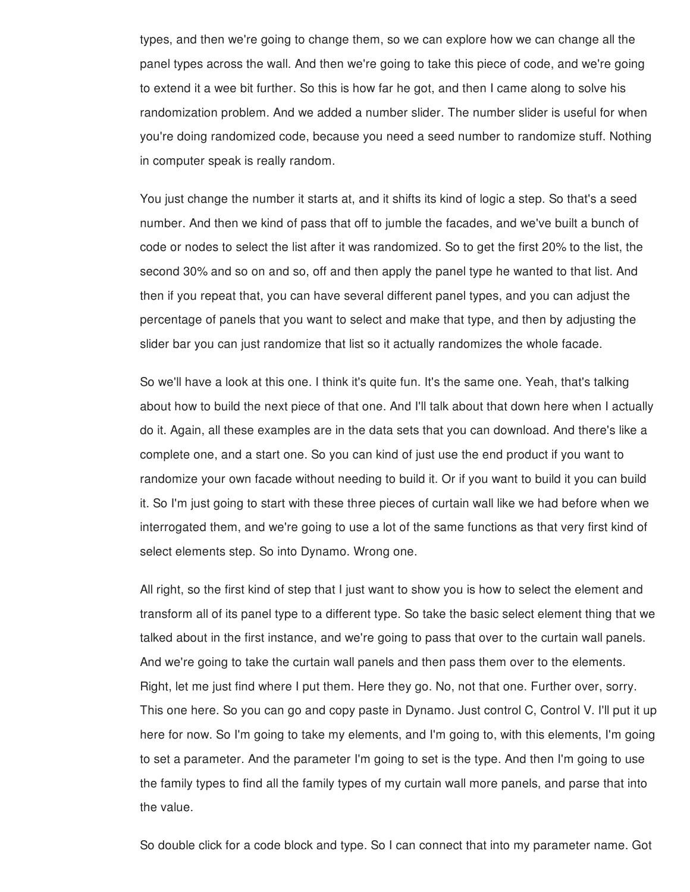types, and then we're going to change them, so we can explore how we can change all the panel types across the wall. And then we're going to take this piece of code, and we're going to extend it a wee bit further. So this is how far he got, and then I came along to solve his randomization problem. And we added a number slider. The number slider is useful for when you're doing randomized code, because you need a seed number to randomize stuff. Nothing in computer speak is really random.

You just change the number it starts at, and it shifts its kind of logic a step. So that's a seed number. And then we kind of pass that off to jumble the facades, and we've built a bunch of code or nodes to select the list after it was randomized. So to get the first 20% to the list, the second 30% and so on and so, off and then apply the panel type he wanted to that list. And then if you repeat that, you can have several different panel types, and you can adjust the percentage of panels that you want to select and make that type, and then by adjusting the slider bar you can just randomize that list so it actually randomizes the whole facade.

So we'll have a look at this one. I think it's quite fun. It's the same one. Yeah, that's talking about how to build the next piece of that one. And I'll talk about that down here when I actually do it. Again, all these examples are in the data sets that you can download. And there's like a complete one, and a start one. So you can kind of just use the end product if you want to randomize your own facade without needing to build it. Or if you want to build it you can build it. So I'm just going to start with these three pieces of curtain wall like we had before when we interrogated them, and we're going to use a lot of the same functions as that very first kind of select elements step. So into Dynamo. Wrong one.

All right, so the first kind of step that I just want to show you is how to select the element and transform all of its panel type to a different type. So take the basic select element thing that we talked about in the first instance, and we're going to pass that over to the curtain wall panels. And we're going to take the curtain wall panels and then pass them over to the elements. Right, let me just find where I put them. Here they go. No, not that one. Further over, sorry. This one here. So you can go and copy paste in Dynamo. Just control C, Control V. I'll put it up here for now. So I'm going to take my elements, and I'm going to, with this elements, I'm going to set a parameter. And the parameter I'm going to set is the type. And then I'm going to use the family types to find all the family types of my curtain wall more panels, and parse that into the value.

So double click for a code block and type. So I can connect that into my parameter name. Got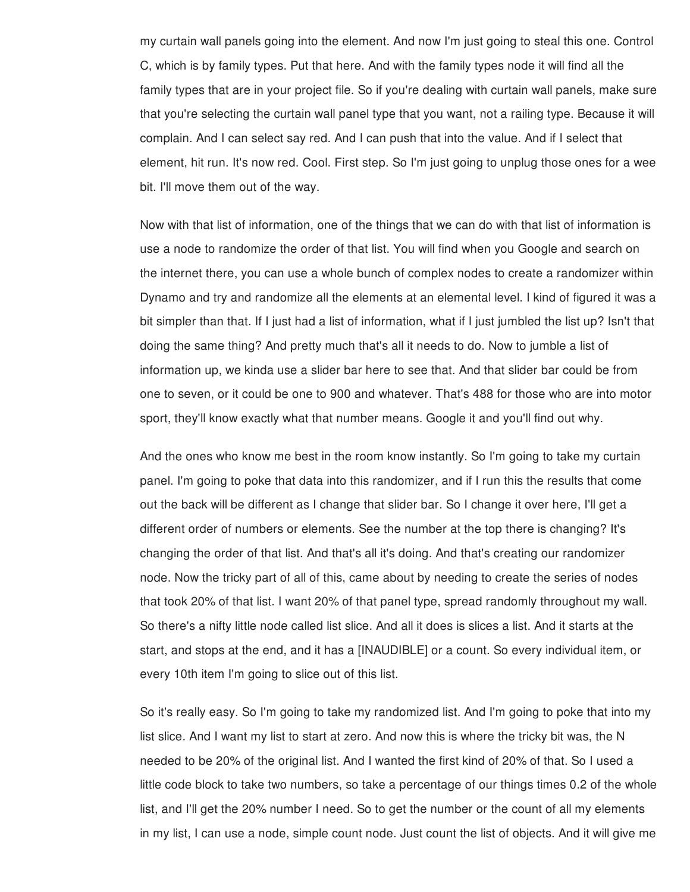my curtain wall panels going into the element. And now I'm just going to steal this one. Control C, which is by family types. Put that here. And with the family types node it will find all the family types that are in your project file. So if you're dealing with curtain wall panels, make sure that you're selecting the curtain wall panel type that you want, not a railing type. Because it will complain. And I can select say red. And I can push that into the value. And if I select that element, hit run. It's now red. Cool. First step. So I'm just going to unplug those ones for a wee bit. I'll move them out of the way.

Now with that list of information, one of the things that we can do with that list of information is use a node to randomize the order of that list. You will find when you Google and search on the internet there, you can use a whole bunch of complex nodes to create a randomizer within Dynamo and try and randomize all the elements at an elemental level. I kind of figured it was a bit simpler than that. If I just had a list of information, what if I just jumbled the list up? Isn't that doing the same thing? And pretty much that's all it needs to do. Now to jumble a list of information up, we kinda use a slider bar here to see that. And that slider bar could be from one to seven, or it could be one to 900 and whatever. That's 488 for those who are into motor sport, they'll know exactly what that number means. Google it and you'll find out why.

And the ones who know me best in the room know instantly. So I'm going to take my curtain panel. I'm going to poke that data into this randomizer, and if I run this the results that come out the back will be different as I change that slider bar. So I change it over here, I'll get a different order of numbers or elements. See the number at the top there is changing? It's changing the order of that list. And that's all it's doing. And that's creating our randomizer node. Now the tricky part of all of this, came about by needing to create the series of nodes that took 20% of that list. I want 20% of that panel type, spread randomly throughout my wall. So there's a nifty little node called list slice. And all it does is slices a list. And it starts at the start, and stops at the end, and it has a [INAUDIBLE] or a count. So every individual item, or every 10th item I'm going to slice out of this list.

So it's really easy. So I'm going to take my randomized list. And I'm going to poke that into my list slice. And I want my list to start at zero. And now this is where the tricky bit was, the N needed to be 20% of the original list. And I wanted the first kind of 20% of that. So I used a little code block to take two numbers, so take a percentage of our things times 0.2 of the whole list, and I'll get the 20% number I need. So to get the number or the count of all my elements in my list, I can use a node, simple count node. Just count the list of objects. And it will give me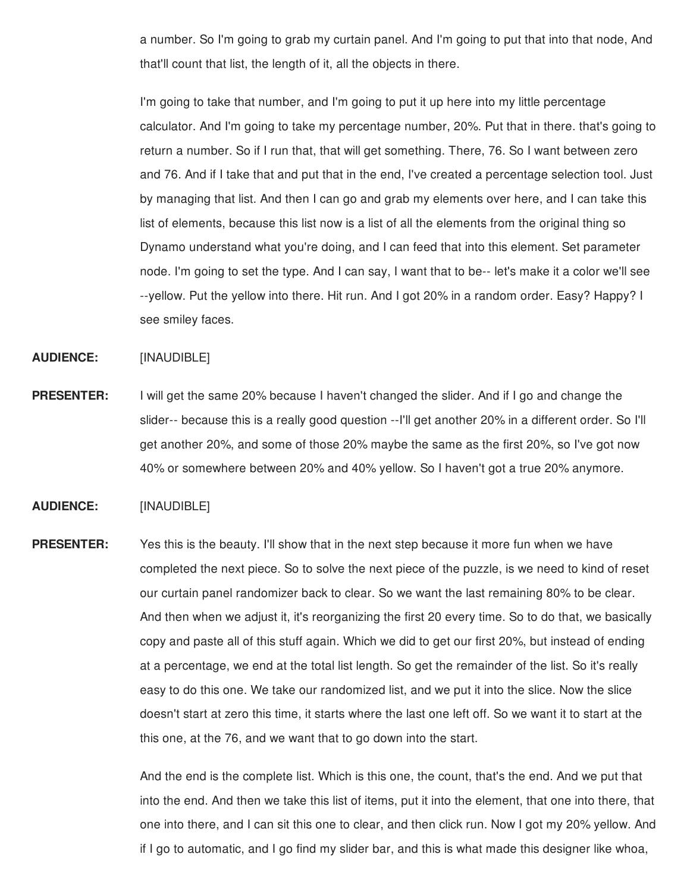a number. So I'm going to grab my curtain panel. And I'm going to put that into that node, And that'll count that list, the length of it, all the objects in there.

I'm going to take that number, and I'm going to put it up here into my little percentage calculator. And I'm going to take my percentage number, 20%. Put that in there. that's going to return a number. So if I run that, that will get something. There, 76. So I want between zero and 76. And if I take that and put that in the end, I've created a percentage selection tool. Just by managing that list. And then I can go and grab my elements over here, and I can take this list of elements, because this list now is a list of all the elements from the original thing so Dynamo understand what you're doing, and I can feed that into this element. Set parameter node. I'm going to set the type. And I can say, I want that to be-- let's make it a color we'll see --yellow. Put the yellow into there. Hit run. And I got 20% in a random order. Easy? Happy? I see smiley faces.

**AUDIENCE:** [INAUDIBLE]

**PRESENTER:** I will get the same 20% because I haven't changed the slider. And if I go and change the slider-- because this is a really good question --I'll get another 20% in a different order. So I'll get another 20%, and some of those 20% maybe the same as the first 20%, so I've got now 40% or somewhere between 20% and 40% yellow. So I haven't got a true 20% anymore.

## **AUDIENCE:** [INAUDIBLE]

**PRESENTER:** Yes this is the beauty. I'll show that in the next step because it more fun when we have completed the next piece. So to solve the next piece of the puzzle, is we need to kind of reset our curtain panel randomizer back to clear. So we want the last remaining 80% to be clear. And then when we adjust it, it's reorganizing the first 20 every time. So to do that, we basically copy and paste all of this stuff again. Which we did to get our first 20%, but instead of ending at a percentage, we end at the total list length. So get the remainder of the list. So it's really easy to do this one. We take our randomized list, and we put it into the slice. Now the slice doesn't start at zero this time, it starts where the last one left off. So we want it to start at the this one, at the 76, and we want that to go down into the start.

> And the end is the complete list. Which is this one, the count, that's the end. And we put that into the end. And then we take this list of items, put it into the element, that one into there, that one into there, and I can sit this one to clear, and then click run. Now I got my 20% yellow. And if I go to automatic, and I go find my slider bar, and this is what made this designer like whoa,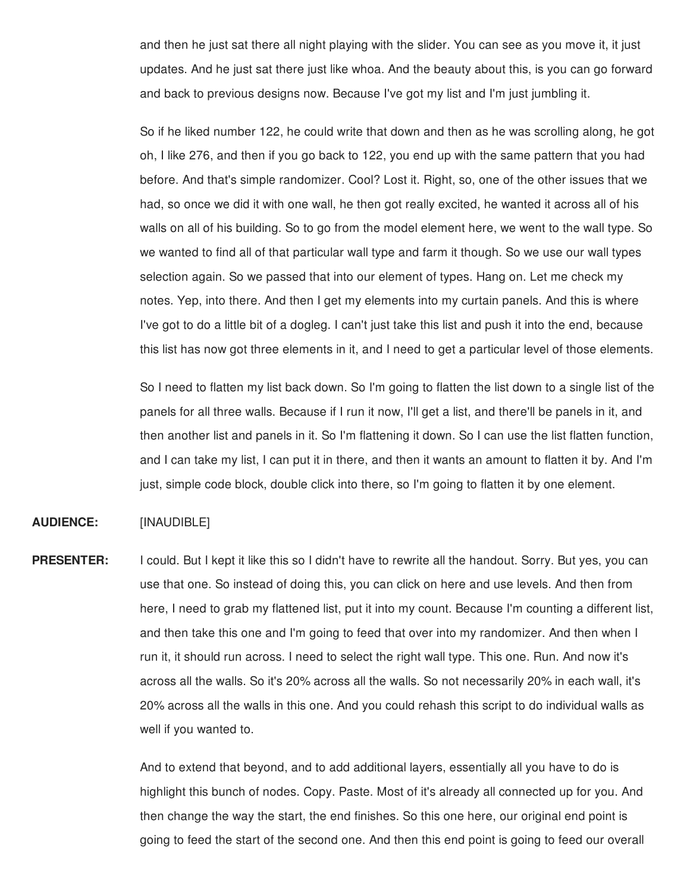and then he just sat there all night playing with the slider. You can see as you move it, it just updates. And he just sat there just like whoa. And the beauty about this, is you can go forward and back to previous designs now. Because I've got my list and I'm just jumbling it.

So if he liked number 122, he could write that down and then as he was scrolling along, he got oh, I like 276, and then if you go back to 122, you end up with the same pattern that you had before. And that's simple randomizer. Cool? Lost it. Right, so, one of the other issues that we had, so once we did it with one wall, he then got really excited, he wanted it across all of his walls on all of his building. So to go from the model element here, we went to the wall type. So we wanted to find all of that particular wall type and farm it though. So we use our wall types selection again. So we passed that into our element of types. Hang on. Let me check my notes. Yep, into there. And then I get my elements into my curtain panels. And this is where I've got to do a little bit of a dogleg. I can't just take this list and push it into the end, because this list has now got three elements in it, and I need to get a particular level of those elements.

So I need to flatten my list back down. So I'm going to flatten the list down to a single list of the panels for all three walls. Because if I run it now, I'll get a list, and there'll be panels in it, and then another list and panels in it. So I'm flattening it down. So I can use the list flatten function, and I can take my list, I can put it in there, and then it wants an amount to flatten it by. And I'm just, simple code block, double click into there, so I'm going to flatten it by one element.

## **AUDIENCE:** [INAUDIBLE]

**PRESENTER:** I could. But I kept it like this so I didn't have to rewrite all the handout. Sorry. But yes, you can use that one. So instead of doing this, you can click on here and use levels. And then from here, I need to grab my flattened list, put it into my count. Because I'm counting a different list, and then take this one and I'm going to feed that over into my randomizer. And then when I run it, it should run across. I need to select the right wall type. This one. Run. And now it's across all the walls. So it's 20% across all the walls. So not necessarily 20% in each wall, it's 20% across all the walls in this one. And you could rehash this script to do individual walls as well if you wanted to.

> And to extend that beyond, and to add additional layers, essentially all you have to do is highlight this bunch of nodes. Copy. Paste. Most of it's already all connected up for you. And then change the way the start, the end finishes. So this one here, our original end point is going to feed the start of the second one. And then this end point is going to feed our overall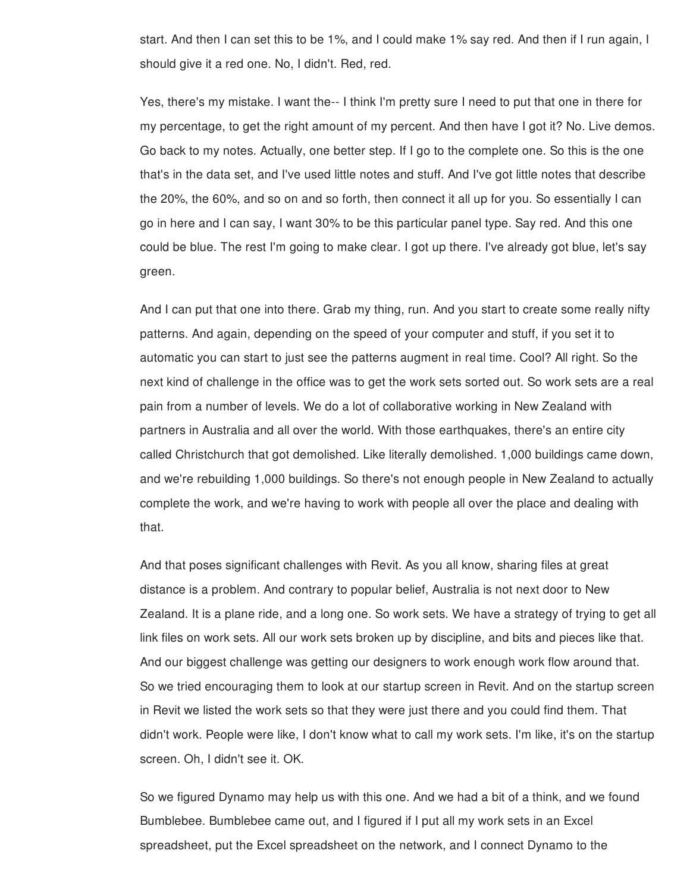start. And then I can set this to be 1%, and I could make 1% say red. And then if I run again, I should give it a red one. No, I didn't. Red, red.

Yes, there's my mistake. I want the-- I think I'm pretty sure I need to put that one in there for my percentage, to get the right amount of my percent. And then have I got it? No. Live demos. Go back to my notes. Actually, one better step. If I go to the complete one. So this is the one that's in the data set, and I've used little notes and stuff. And I've got little notes that describe the 20%, the 60%, and so on and so forth, then connect it all up for you. So essentially I can go in here and I can say, I want 30% to be this particular panel type. Say red. And this one could be blue. The rest I'm going to make clear. I got up there. I've already got blue, let's say green.

And I can put that one into there. Grab my thing, run. And you start to create some really nifty patterns. And again, depending on the speed of your computer and stuff, if you set it to automatic you can start to just see the patterns augment in real time. Cool? All right. So the next kind of challenge in the office was to get the work sets sorted out. So work sets are a real pain from a number of levels. We do a lot of collaborative working in New Zealand with partners in Australia and all over the world. With those earthquakes, there's an entire city called Christchurch that got demolished. Like literally demolished. 1,000 buildings came down, and we're rebuilding 1,000 buildings. So there's not enough people in New Zealand to actually complete the work, and we're having to work with people all over the place and dealing with that.

And that poses significant challenges with Revit. As you all know, sharing files at great distance is a problem. And contrary to popular belief, Australia is not next door to New Zealand. It is a plane ride, and a long one. So work sets. We have a strategy of trying to get all link files on work sets. All our work sets broken up by discipline, and bits and pieces like that. And our biggest challenge was getting our designers to work enough work flow around that. So we tried encouraging them to look at our startup screen in Revit. And on the startup screen in Revit we listed the work sets so that they were just there and you could find them. That didn't work. People were like, I don't know what to call my work sets. I'm like, it's on the startup screen. Oh, I didn't see it. OK.

So we figured Dynamo may help us with this one. And we had a bit of a think, and we found Bumblebee. Bumblebee came out, and I figured if I put all my work sets in an Excel spreadsheet, put the Excel spreadsheet on the network, and I connect Dynamo to the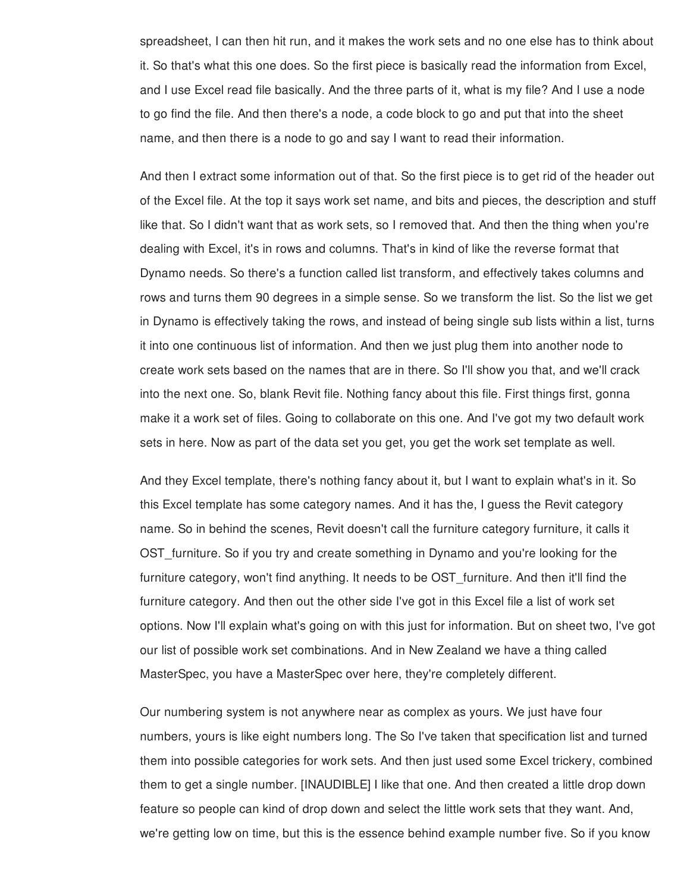spreadsheet, I can then hit run, and it makes the work sets and no one else has to think about it. So that's what this one does. So the first piece is basically read the information from Excel, and I use Excel read file basically. And the three parts of it, what is my file? And I use a node to go find the file. And then there's a node, a code block to go and put that into the sheet name, and then there is a node to go and say I want to read their information.

And then I extract some information out of that. So the first piece is to get rid of the header out of the Excel file. At the top it says work set name, and bits and pieces, the description and stuff like that. So I didn't want that as work sets, so I removed that. And then the thing when you're dealing with Excel, it's in rows and columns. That's in kind of like the reverse format that Dynamo needs. So there's a function called list transform, and effectively takes columns and rows and turns them 90 degrees in a simple sense. So we transform the list. So the list we get in Dynamo is effectively taking the rows, and instead of being single sub lists within a list, turns it into one continuous list of information. And then we just plug them into another node to create work sets based on the names that are in there. So I'll show you that, and we'll crack into the next one. So, blank Revit file. Nothing fancy about this file. First things first, gonna make it a work set of files. Going to collaborate on this one. And I've got my two default work sets in here. Now as part of the data set you get, you get the work set template as well.

And they Excel template, there's nothing fancy about it, but I want to explain what's in it. So this Excel template has some category names. And it has the, I guess the Revit category name. So in behind the scenes, Revit doesn't call the furniture category furniture, it calls it OST furniture. So if you try and create something in Dynamo and you're looking for the furniture category, won't find anything. It needs to be OST furniture. And then it'll find the furniture category. And then out the other side I've got in this Excel file a list of work set options. Now I'll explain what's going on with this just for information. But on sheet two, I've got our list of possible work set combinations. And in New Zealand we have a thing called MasterSpec, you have a MasterSpec over here, they're completely different.

Our numbering system is not anywhere near as complex as yours. We just have four numbers, yours is like eight numbers long. The So I've taken that specification list and turned them into possible categories for work sets. And then just used some Excel trickery, combined them to get a single number. [INAUDIBLE] I like that one. And then created a little drop down feature so people can kind of drop down and select the little work sets that they want. And, we're getting low on time, but this is the essence behind example number five. So if you know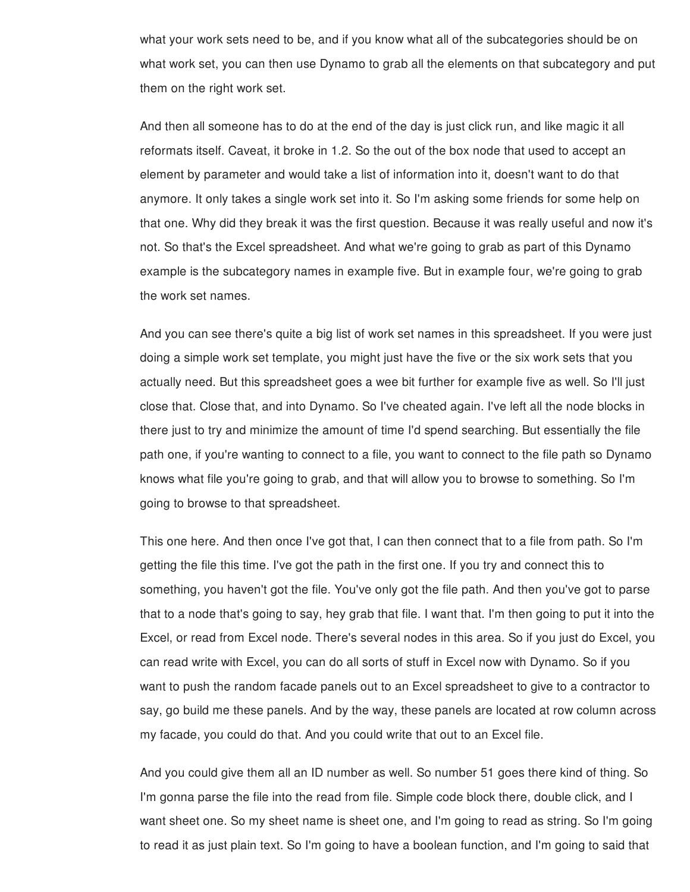what your work sets need to be, and if you know what all of the subcategories should be on what work set, you can then use Dynamo to grab all the elements on that subcategory and put them on the right work set.

And then all someone has to do at the end of the day is just click run, and like magic it all reformats itself. Caveat, it broke in 1.2. So the out of the box node that used to accept an element by parameter and would take a list of information into it, doesn't want to do that anymore. It only takes a single work set into it. So I'm asking some friends for some help on that one. Why did they break it was the first question. Because it was really useful and now it's not. So that's the Excel spreadsheet. And what we're going to grab as part of this Dynamo example is the subcategory names in example five. But in example four, we're going to grab the work set names.

And you can see there's quite a big list of work set names in this spreadsheet. If you were just doing a simple work set template, you might just have the five or the six work sets that you actually need. But this spreadsheet goes a wee bit further for example five as well. So I'll just close that. Close that, and into Dynamo. So I've cheated again. I've left all the node blocks in there just to try and minimize the amount of time I'd spend searching. But essentially the file path one, if you're wanting to connect to a file, you want to connect to the file path so Dynamo knows what file you're going to grab, and that will allow you to browse to something. So I'm going to browse to that spreadsheet.

This one here. And then once I've got that, I can then connect that to a file from path. So I'm getting the file this time. I've got the path in the first one. If you try and connect this to something, you haven't got the file. You've only got the file path. And then you've got to parse that to a node that's going to say, hey grab that file. I want that. I'm then going to put it into the Excel, or read from Excel node. There's several nodes in this area. So if you just do Excel, you can read write with Excel, you can do all sorts of stuff in Excel now with Dynamo. So if you want to push the random facade panels out to an Excel spreadsheet to give to a contractor to say, go build me these panels. And by the way, these panels are located at row column across my facade, you could do that. And you could write that out to an Excel file.

And you could give them all an ID number as well. So number 51 goes there kind of thing. So I'm gonna parse the file into the read from file. Simple code block there, double click, and I want sheet one. So my sheet name is sheet one, and I'm going to read as string. So I'm going to read it as just plain text. So I'm going to have a boolean function, and I'm going to said that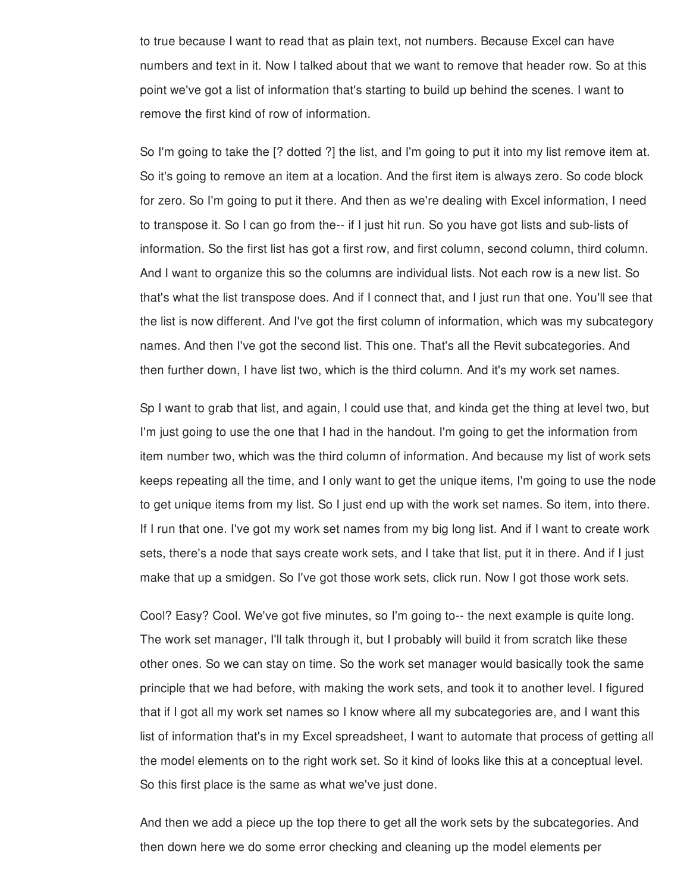to true because I want to read that as plain text, not numbers. Because Excel can have numbers and text in it. Now I talked about that we want to remove that header row. So at this point we've got a list of information that's starting to build up behind the scenes. I want to remove the first kind of row of information.

So I'm going to take the [? dotted ?] the list, and I'm going to put it into my list remove item at. So it's going to remove an item at a location. And the first item is always zero. So code block for zero. So I'm going to put it there. And then as we're dealing with Excel information, I need to transpose it. So I can go from the-- if I just hit run. So you have got lists and sub-lists of information. So the first list has got a first row, and first column, second column, third column. And I want to organize this so the columns are individual lists. Not each row is a new list. So that's what the list transpose does. And if I connect that, and I just run that one. You'll see that the list is now different. And I've got the first column of information, which was my subcategory names. And then I've got the second list. This one. That's all the Revit subcategories. And then further down, I have list two, which is the third column. And it's my work set names.

Sp I want to grab that list, and again, I could use that, and kinda get the thing at level two, but I'm just going to use the one that I had in the handout. I'm going to get the information from item number two, which was the third column of information. And because my list of work sets keeps repeating all the time, and I only want to get the unique items, I'm going to use the node to get unique items from my list. So I just end up with the work set names. So item, into there. If I run that one. I've got my work set names from my big long list. And if I want to create work sets, there's a node that says create work sets, and I take that list, put it in there. And if I just make that up a smidgen. So I've got those work sets, click run. Now I got those work sets.

Cool? Easy? Cool. We've got five minutes, so I'm going to-- the next example is quite long. The work set manager, I'll talk through it, but I probably will build it from scratch like these other ones. So we can stay on time. So the work set manager would basically took the same principle that we had before, with making the work sets, and took it to another level. I figured that if I got all my work set names so I know where all my subcategories are, and I want this list of information that's in my Excel spreadsheet, I want to automate that process of getting all the model elements on to the right work set. So it kind of looks like this at a conceptual level. So this first place is the same as what we've just done.

And then we add a piece up the top there to get all the work sets by the subcategories. And then down here we do some error checking and cleaning up the model elements per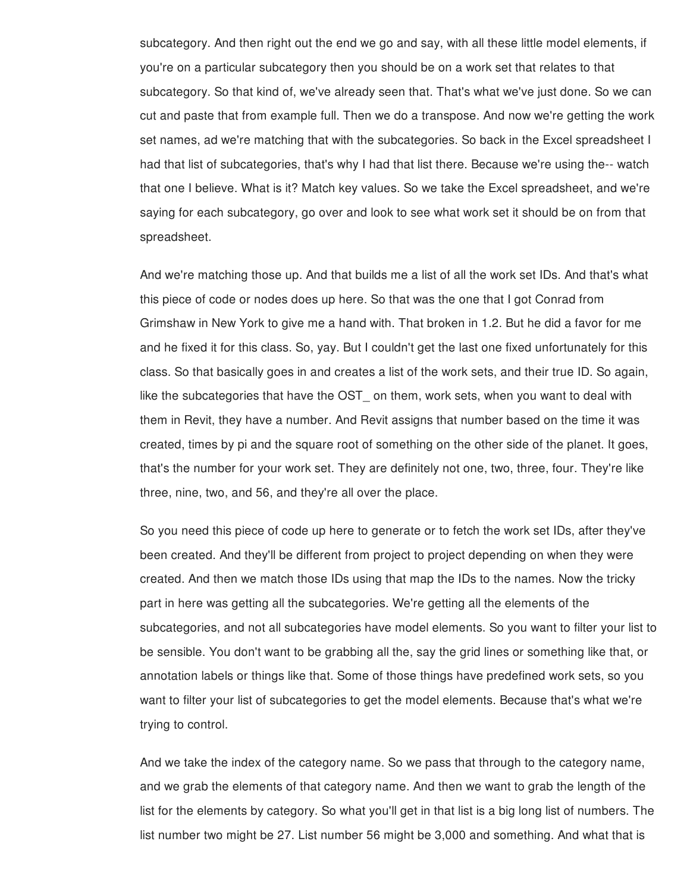subcategory. And then right out the end we go and say, with all these little model elements, if you're on a particular subcategory then you should be on a work set that relates to that subcategory. So that kind of, we've already seen that. That's what we've just done. So we can cut and paste that from example full. Then we do a transpose. And now we're getting the work set names, ad we're matching that with the subcategories. So back in the Excel spreadsheet I had that list of subcategories, that's why I had that list there. Because we're using the-- watch that one I believe. What is it? Match key values. So we take the Excel spreadsheet, and we're saying for each subcategory, go over and look to see what work set it should be on from that spreadsheet.

And we're matching those up. And that builds me a list of all the work set IDs. And that's what this piece of code or nodes does up here. So that was the one that I got Conrad from Grimshaw in New York to give me a hand with. That broken in 1.2. But he did a favor for me and he fixed it for this class. So, yay. But I couldn't get the last one fixed unfortunately for this class. So that basically goes in and creates a list of the work sets, and their true ID. So again, like the subcategories that have the OST on them, work sets, when you want to deal with them in Revit, they have a number. And Revit assigns that number based on the time it was created, times by pi and the square root of something on the other side of the planet. It goes, that's the number for your work set. They are definitely not one, two, three, four. They're like three, nine, two, and 56, and they're all over the place.

So you need this piece of code up here to generate or to fetch the work set IDs, after they've been created. And they'll be different from project to project depending on when they were created. And then we match those IDs using that map the IDs to the names. Now the tricky part in here was getting all the subcategories. We're getting all the elements of the subcategories, and not all subcategories have model elements. So you want to filter your list to be sensible. You don't want to be grabbing all the, say the grid lines or something like that, or annotation labels or things like that. Some of those things have predefined work sets, so you want to filter your list of subcategories to get the model elements. Because that's what we're trying to control.

And we take the index of the category name. So we pass that through to the category name, and we grab the elements of that category name. And then we want to grab the length of the list for the elements by category. So what you'll get in that list is a big long list of numbers. The list number two might be 27. List number 56 might be 3,000 and something. And what that is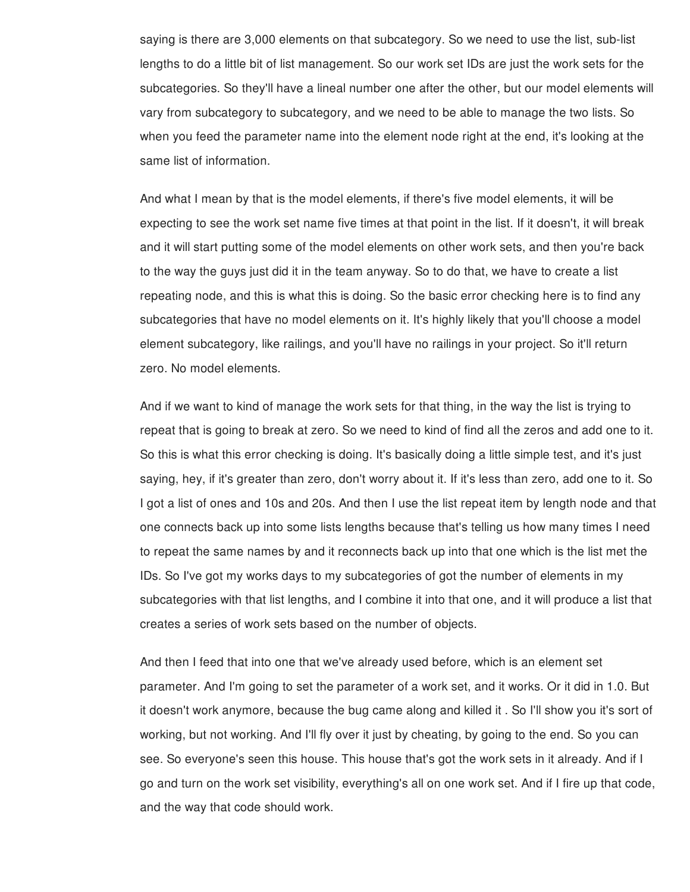saying is there are 3,000 elements on that subcategory. So we need to use the list, sub-list lengths to do a little bit of list management. So our work set IDs are just the work sets for the subcategories. So they'll have a lineal number one after the other, but our model elements will vary from subcategory to subcategory, and we need to be able to manage the two lists. So when you feed the parameter name into the element node right at the end, it's looking at the same list of information.

And what I mean by that is the model elements, if there's five model elements, it will be expecting to see the work set name five times at that point in the list. If it doesn't, it will break and it will start putting some of the model elements on other work sets, and then you're back to the way the guys just did it in the team anyway. So to do that, we have to create a list repeating node, and this is what this is doing. So the basic error checking here is to find any subcategories that have no model elements on it. It's highly likely that you'll choose a model element subcategory, like railings, and you'll have no railings in your project. So it'll return zero. No model elements.

And if we want to kind of manage the work sets for that thing, in the way the list is trying to repeat that is going to break at zero. So we need to kind of find all the zeros and add one to it. So this is what this error checking is doing. It's basically doing a little simple test, and it's just saying, hey, if it's greater than zero, don't worry about it. If it's less than zero, add one to it. So I got a list of ones and 10s and 20s. And then I use the list repeat item by length node and that one connects back up into some lists lengths because that's telling us how many times I need to repeat the same names by and it reconnects back up into that one which is the list met the IDs. So I've got my works days to my subcategories of got the number of elements in my subcategories with that list lengths, and I combine it into that one, and it will produce a list that creates a series of work sets based on the number of objects.

And then I feed that into one that we've already used before, which is an element set parameter. And I'm going to set the parameter of a work set, and it works. Or it did in 1.0. But it doesn't work anymore, because the bug came along and killed it . So I'll show you it's sort of working, but not working. And I'll fly over it just by cheating, by going to the end. So you can see. So everyone's seen this house. This house that's got the work sets in it already. And if I go and turn on the work set visibility, everything's all on one work set. And if I fire up that code, and the way that code should work.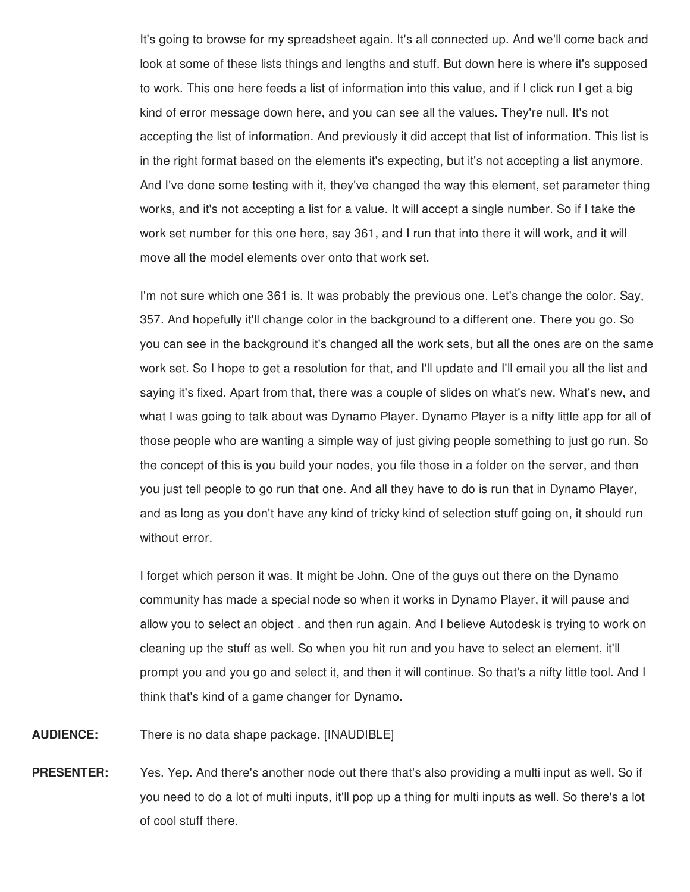It's going to browse for my spreadsheet again. It's all connected up. And we'll come back and look at some of these lists things and lengths and stuff. But down here is where it's supposed to work. This one here feeds a list of information into this value, and if I click run I get a big kind of error message down here, and you can see all the values. They're null. It's not accepting the list of information. And previously it did accept that list of information. This list is in the right format based on the elements it's expecting, but it's not accepting a list anymore. And I've done some testing with it, they've changed the way this element, set parameter thing works, and it's not accepting a list for a value. It will accept a single number. So if I take the work set number for this one here, say 361, and I run that into there it will work, and it will move all the model elements over onto that work set.

I'm not sure which one 361 is. It was probably the previous one. Let's change the color. Say, 357. And hopefully it'll change color in the background to a different one. There you go. So you can see in the background it's changed all the work sets, but all the ones are on the same work set. So I hope to get a resolution for that, and I'll update and I'll email you all the list and saying it's fixed. Apart from that, there was a couple of slides on what's new. What's new, and what I was going to talk about was Dynamo Player. Dynamo Player is a nifty little app for all of those people who are wanting a simple way of just giving people something to just go run. So the concept of this is you build your nodes, you file those in a folder on the server, and then you just tell people to go run that one. And all they have to do is run that in Dynamo Player, and as long as you don't have any kind of tricky kind of selection stuff going on, it should run without error.

I forget which person it was. It might be John. One of the guys out there on the Dynamo community has made a special node so when it works in Dynamo Player, it will pause and allow you to select an object . and then run again. And I believe Autodesk is trying to work on cleaning up the stuff as well. So when you hit run and you have to select an element, it'll prompt you and you go and select it, and then it will continue. So that's a nifty little tool. And I think that's kind of a game changer for Dynamo.

**AUDIENCE:** There is no data shape package. [INAUDIBLE]

**PRESENTER:** Yes. Yep. And there's another node out there that's also providing a multi input as well. So if you need to do a lot of multi inputs, it'll pop up a thing for multi inputs as well. So there's a lot of cool stuff there.